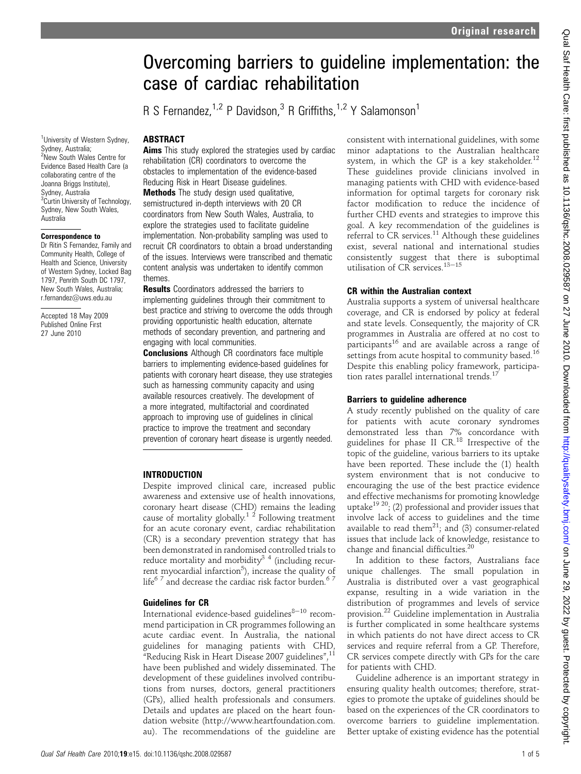# Overcoming barriers to guideline implementation: the case of cardiac rehabilitation

R S Fernandez.<sup>1,2</sup> P Davidson.<sup>3</sup> R Griffiths.<sup>1,2</sup> Y Salamonson<sup>1</sup>

# **ABSTRACT**

<sup>1</sup>University of Western Sydney,

Sydney, Australia; <sup>2</sup>New South Wales Centre for Evidence Based Health Care (a collaborating centre of the Joanna Briggs Institute), Sydney, Australia<br><sup>3</sup>Curtin University of Technology, Sydney, New South Wales,

Australia

Correspondence to Dr Ritin S Fernandez, Family and Community Health, College of Health and Science, University of Western Sydney, Locked Bag 1797, Penrith South DC 1797, New South Wales, Australia; r.fernandez@uws.edu.au Accepted 18 May 2009 Published Online First 27 June 2010

**Aims** This study explored the strategies used by cardiac rehabilitation (CR) coordinators to overcome the obstacles to implementation of the evidence-based Reducing Risk in Heart Disease guidelines. **Methods** The study design used qualitative, semistructured in-depth interviews with 20 CR coordinators from New South Wales, Australia, to explore the strategies used to facilitate guideline implementation. Non-probability sampling was used to recruit CR coordinators to obtain a broad understanding of the issues. Interviews were transcribed and thematic content analysis was undertaken to identify common themes.

**Results** Coordinators addressed the barriers to implementing guidelines through their commitment to best practice and striving to overcome the odds through providing opportunistic health education, alternate methods of secondary prevention, and partnering and engaging with local communities.

**Conclusions** Although CR coordinators face multiple barriers to implementing evidence-based guidelines for patients with coronary heart disease, they use strategies such as harnessing community capacity and using available resources creatively. The development of a more integrated, multifactorial and coordinated approach to improving use of guidelines in clinical practice to improve the treatment and secondary prevention of coronary heart disease is urgently needed.

## INTRODUCTION

Despite improved clinical care, increased public awareness and extensive use of health innovations, coronary heart disease (CHD) remains the leading cause of mortality globally.<sup>1</sup> <sup>2</sup> Following treatment for an acute coronary event, cardiac rehabilitation (CR) is a secondary prevention strategy that has been demonstrated in randomised controlled trials to reduce mortality and morbidity<sup>3</sup> 4 (including recurrent myocardial infarction $5$ ), increase the quality of life<sup>6 7</sup> and decrease the cardiac risk factor burden.<sup>67</sup>

#### Guidelines for CR

International evidence-based guidelines $8-10$  recommend participation in CR programmes following an acute cardiac event. In Australia, the national guidelines for managing patients with CHD, "Reducing Risk in Heart Disease 2007 guidelines",<sup>11</sup> have been published and widely disseminated. The development of these guidelines involved contributions from nurses, doctors, general practitioners (GPs), allied health professionals and consumers. Details and updates are placed on the heart foundation website (http://www.heartfoundation.com. au). The recommendations of the guideline are consistent with international guidelines, with some minor adaptations to the Australian healthcare system, in which the GP is a key stakeholder.<sup>12</sup> These guidelines provide clinicians involved in managing patients with CHD with evidence-based information for optimal targets for coronary risk factor modification to reduce the incidence of further CHD events and strategies to improve this goal. A key recommendation of the guidelines is referral to CR services.<sup>11</sup> Although these guidelines exist, several national and international studies consistently suggest that there is suboptimal utilisation of CR services.<sup>13-15</sup>

#### CR within the Australian context

Australia supports a system of universal healthcare coverage, and CR is endorsed by policy at federal and state levels. Consequently, the majority of CR programmes in Australia are offered at no cost to participants $16$  and are available across a range of settings from acute hospital to community based.<sup>16</sup> Despite this enabling policy framework, participation rates parallel international trends.<sup>1</sup>

#### Barriers to guideline adherence

A study recently published on the quality of care for patients with acute coronary syndromes demonstrated less than 7% concordance with guidelines for phase II CR.<sup>18</sup> Irrespective of the topic of the guideline, various barriers to its uptake have been reported. These include the (1) health system environment that is not conducive to encouraging the use of the best practice evidence and effective mechanisms for promoting knowledge uptake<sup>19 20</sup>; (2) professional and provider issues that involve lack of access to guidelines and the time available to read them<sup>21</sup>; and (3) consumer-related issues that include lack of knowledge, resistance to change and financial difficulties.<sup>20</sup>

In addition to these factors, Australians face unique challenges. The small population in Australia is distributed over a vast geographical expanse, resulting in a wide variation in the distribution of programmes and levels of service provision.<sup>22</sup> Guideline implementation in Australia is further complicated in some healthcare systems in which patients do not have direct access to CR services and require referral from a GP. Therefore, CR services compete directly with GPs for the care for patients with CHD.

Guideline adherence is an important strategy in ensuring quality health outcomes; therefore, strategies to promote the uptake of guidelines should be based on the experiences of the CR coordinators to overcome barriers to guideline implementation. Better uptake of existing evidence has the potential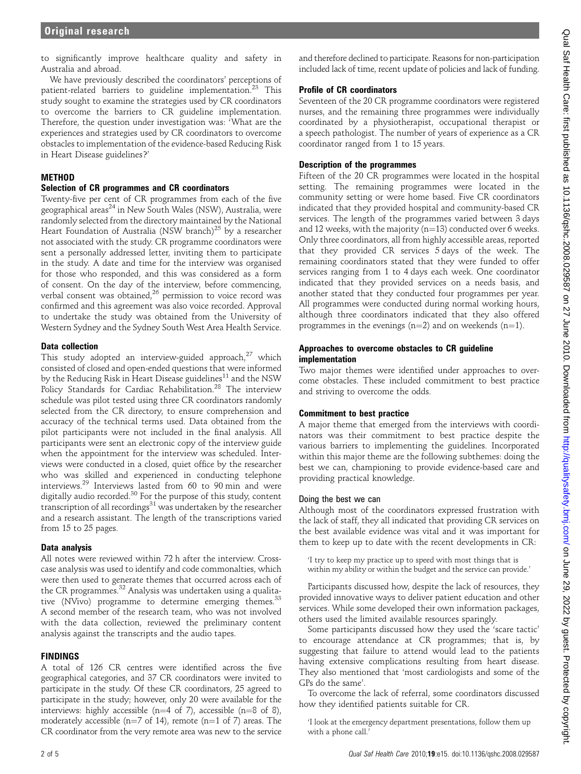to significantly improve healthcare quality and safety in Australia and abroad.

We have previously described the coordinators' perceptions of patient-related barriers to guideline implementation.<sup>23</sup> This study sought to examine the strategies used by CR coordinators to overcome the barriers to CR guideline implementation. Therefore, the question under investigation was: 'What are the experiences and strategies used by CR coordinators to overcome obstacles to implementation of the evidence-based Reducing Risk in Heart Disease guidelines?'

# **METHOD**

## Selection of CR programmes and CR coordinators

Twenty-five per cent of CR programmes from each of the five geographical areas<sup>24</sup> in New South Wales (NSW), Australia, were randomly selected from the directory maintained by the National Heart Foundation of Australia (NSW branch)<sup>25</sup> by a researcher not associated with the study. CR programme coordinators were sent a personally addressed letter, inviting them to participate in the study. A date and time for the interview was organised for those who responded, and this was considered as a form of consent. On the day of the interview, before commencing, verbal consent was obtained, $^{26}$  permission to voice record was confirmed and this agreement was also voice recorded. Approval to undertake the study was obtained from the University of Western Sydney and the Sydney South West Area Health Service.

## Data collection

This study adopted an interview-guided approach, $27$  which consisted of closed and open-ended questions that were informed by the Reducing Risk in Heart Disease guidelines<sup>11</sup> and the NSW Policy Standards for Cardiac Rehabilitation.<sup>28</sup> The interview schedule was pilot tested using three CR coordinators randomly selected from the CR directory, to ensure comprehension and accuracy of the technical terms used. Data obtained from the pilot participants were not included in the final analysis. All participants were sent an electronic copy of the interview guide when the appointment for the interview was scheduled. Interviews were conducted in a closed, quiet office by the researcher who was skilled and experienced in conducting telephone interviews.29 Interviews lasted from 60 to 90 min and were digitally audio recorded. $30$  For the purpose of this study, content transcription of all recordings $31$  was undertaken by the researcher and a research assistant. The length of the transcriptions varied from 15 to 25 pages.

## Data analysis

All notes were reviewed within 72 h after the interview. Crosscase analysis was used to identify and code commonalties, which were then used to generate themes that occurred across each of the CR programmes. $32$  Analysis was undertaken using a qualitative (NVivo) programme to determine emerging themes.  $33$ A second member of the research team, who was not involved with the data collection, reviewed the preliminary content analysis against the transcripts and the audio tapes.

## FINDINGS

A total of 126 CR centres were identified across the five geographical categories, and 37 CR coordinators were invited to participate in the study. Of these CR coordinators, 25 agreed to participate in the study; however, only 20 were available for the interviews: highly accessible (n=4 of 7), accessible (n=8 of 8), moderately accessible (n=7 of 14), remote (n=1 of 7) areas. The CR coordinator from the very remote area was new to the service

and therefore declined to participate. Reasons for non-participation included lack of time, recent update of policies and lack of funding.

# Profile of CR coordinators

Seventeen of the 20 CR programme coordinators were registered nurses, and the remaining three programmes were individually coordinated by a physiotherapist, occupational therapist or a speech pathologist. The number of years of experience as a CR coordinator ranged from 1 to 15 years.

## Description of the programmes

Fifteen of the 20 CR programmes were located in the hospital setting. The remaining programmes were located in the community setting or were home based. Five CR coordinators indicated that they provided hospital and community-based CR services. The length of the programmes varied between 3 days and 12 weeks, with the majority ( $n=13$ ) conducted over 6 weeks. Only three coordinators, all from highly accessible areas, reported that they provided CR services 5 days of the week. The remaining coordinators stated that they were funded to offer services ranging from 1 to 4 days each week. One coordinator indicated that they provided services on a needs basis, and another stated that they conducted four programmes per year. All programmes were conducted during normal working hours, although three coordinators indicated that they also offered programmes in the evenings (n=2) and on weekends (n=1).

## Approaches to overcome obstacles to CR guideline implementation

Two major themes were identified under approaches to overcome obstacles. These included commitment to best practice and striving to overcome the odds.

## Commitment to best practice

A major theme that emerged from the interviews with coordinators was their commitment to best practice despite the various barriers to implementing the guidelines. Incorporated within this major theme are the following subthemes: doing the best we can, championing to provide evidence-based care and providing practical knowledge.

## Doing the best we can

Although most of the coordinators expressed frustration with the lack of staff, they all indicated that providing CR services on the best available evidence was vital and it was important for them to keep up to date with the recent developments in CR:

'I try to keep my practice up to speed with most things that is within my ability or within the budget and the service can provide.'

Participants discussed how, despite the lack of resources, they provided innovative ways to deliver patient education and other services. While some developed their own information packages, others used the limited available resources sparingly.

Some participants discussed how they used the 'scare tactic' to encourage attendance at CR programmes; that is, by suggesting that failure to attend would lead to the patients having extensive complications resulting from heart disease. They also mentioned that 'most cardiologists and some of the GPs do the same'.

To overcome the lack of referral, some coordinators discussed how they identified patients suitable for CR.

<sup>&#</sup>x27;I look at the emergency department presentations, follow them up with a phone call.'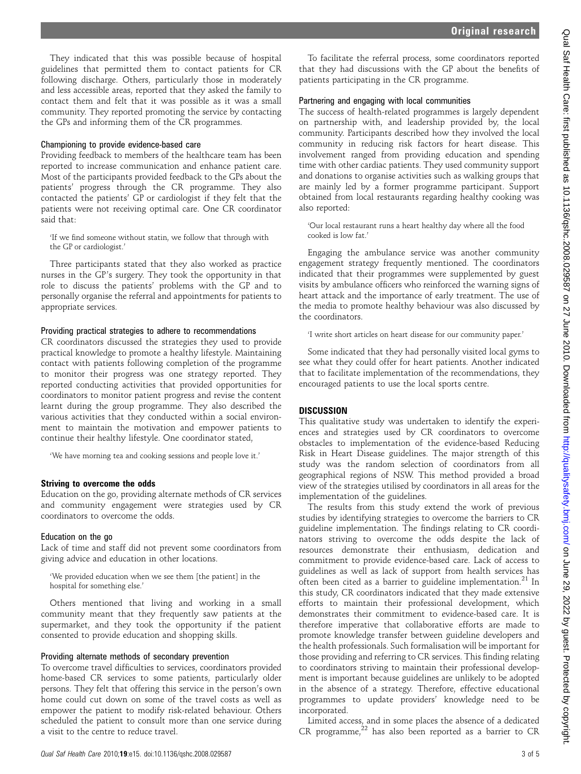They indicated that this was possible because of hospital guidelines that permitted them to contact patients for CR following discharge. Others, particularly those in moderately and less accessible areas, reported that they asked the family to contact them and felt that it was possible as it was a small community. They reported promoting the service by contacting the GPs and informing them of the CR programmes.

#### Championing to provide evidence-based care

Providing feedback to members of the healthcare team has been reported to increase communication and enhance patient care. Most of the participants provided feedback to the GPs about the patients' progress through the CR programme. They also contacted the patients' GP or cardiologist if they felt that the patients were not receiving optimal care. One CR coordinator said that:

'If we find someone without statin, we follow that through with the GP or cardiologist.'

Three participants stated that they also worked as practice nurses in the GP's surgery. They took the opportunity in that role to discuss the patients' problems with the GP and to personally organise the referral and appointments for patients to appropriate services.

#### Providing practical strategies to adhere to recommendations

CR coordinators discussed the strategies they used to provide practical knowledge to promote a healthy lifestyle. Maintaining contact with patients following completion of the programme to monitor their progress was one strategy reported. They reported conducting activities that provided opportunities for coordinators to monitor patient progress and revise the content learnt during the group programme. They also described the various activities that they conducted within a social environment to maintain the motivation and empower patients to continue their healthy lifestyle. One coordinator stated,

'We have morning tea and cooking sessions and people love it.'

#### Striving to overcome the odds

Education on the go, providing alternate methods of CR services and community engagement were strategies used by CR coordinators to overcome the odds.

#### Education on the go

Lack of time and staff did not prevent some coordinators from giving advice and education in other locations.

'We provided education when we see them [the patient] in the hospital for something else.'

Others mentioned that living and working in a small community meant that they frequently saw patients at the supermarket, and they took the opportunity if the patient consented to provide education and shopping skills.

#### Providing alternate methods of secondary prevention

To overcome travel difficulties to services, coordinators provided home-based CR services to some patients, particularly older persons. They felt that offering this service in the person's own home could cut down on some of the travel costs as well as empower the patient to modify risk-related behaviour. Others scheduled the patient to consult more than one service during a visit to the centre to reduce travel.

To facilitate the referral process, some coordinators reported that they had discussions with the GP about the benefits of patients participating in the CR programme.

#### Partnering and engaging with local communities

The success of health-related programmes is largely dependent on partnership with, and leadership provided by, the local community. Participants described how they involved the local community in reducing risk factors for heart disease. This involvement ranged from providing education and spending time with other cardiac patients. They used community support and donations to organise activities such as walking groups that are mainly led by a former programme participant. Support obtained from local restaurants regarding healthy cooking was also reported:

'Our local restaurant runs a heart healthy day where all the food cooked is low fat.'

Engaging the ambulance service was another community engagement strategy frequently mentioned. The coordinators indicated that their programmes were supplemented by guest visits by ambulance officers who reinforced the warning signs of heart attack and the importance of early treatment. The use of the media to promote healthy behaviour was also discussed by the coordinators.

'I write short articles on heart disease for our community paper.'

Some indicated that they had personally visited local gyms to see what they could offer for heart patients. Another indicated that to facilitate implementation of the recommendations, they encouraged patients to use the local sports centre.

# **DISCUSSION**

This qualitative study was undertaken to identify the experiences and strategies used by CR coordinators to overcome obstacles to implementation of the evidence-based Reducing Risk in Heart Disease guidelines. The major strength of this study was the random selection of coordinators from all geographical regions of NSW. This method provided a broad view of the strategies utilised by coordinators in all areas for the implementation of the guidelines.

The results from this study extend the work of previous studies by identifying strategies to overcome the barriers to CR guideline implementation. The findings relating to CR coordinators striving to overcome the odds despite the lack of resources demonstrate their enthusiasm, dedication and commitment to provide evidence-based care. Lack of access to guidelines as well as lack of support from health services has often been cited as a barrier to guideline implementation.<sup>21</sup> In this study, CR coordinators indicated that they made extensive efforts to maintain their professional development, which demonstrates their commitment to evidence-based care. It is therefore imperative that collaborative efforts are made to promote knowledge transfer between guideline developers and the health professionals. Such formalisation will be important for those providing and referring to CR services. This finding relating to coordinators striving to maintain their professional development is important because guidelines are unlikely to be adopted in the absence of a strategy. Therefore, effective educational programmes to update providers' knowledge need to be incorporated.

Limited access, and in some places the absence of a dedicated CR programme, $^{22}$  has also been reported as a barrier to CR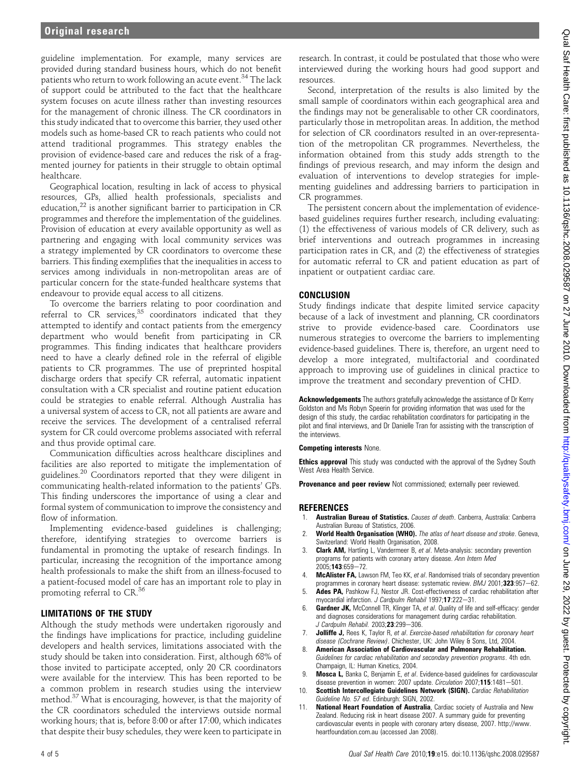guideline implementation. For example, many services are provided during standard business hours, which do not benefit patients who return to work following an acute event.<sup>34</sup> The lack of support could be attributed to the fact that the healthcare system focuses on acute illness rather than investing resources for the management of chronic illness. The CR coordinators in this study indicated that to overcome this barrier, they used other models such as home-based CR to reach patients who could not attend traditional programmes. This strategy enables the provision of evidence-based care and reduces the risk of a fragmented journey for patients in their struggle to obtain optimal healthcare.

Geographical location, resulting in lack of access to physical resources, GPs, allied health professionals, specialists and education, $^{22}$  is another significant barrier to participation in CR programmes and therefore the implementation of the guidelines. Provision of education at every available opportunity as well as partnering and engaging with local community services was a strategy implemented by CR coordinators to overcome these barriers. This finding exemplifies that the inequalities in access to services among individuals in non-metropolitan areas are of particular concern for the state-funded healthcare systems that endeavour to provide equal access to all citizens.

To overcome the barriers relating to poor coordination and referral to  $CR$  services, $35$  coordinators indicated that they attempted to identify and contact patients from the emergency department who would benefit from participating in CR programmes. This finding indicates that healthcare providers need to have a clearly defined role in the referral of eligible patients to CR programmes. The use of preprinted hospital discharge orders that specify CR referral, automatic inpatient consultation with a CR specialist and routine patient education could be strategies to enable referral. Although Australia has a universal system of access to CR, not all patients are aware and receive the services. The development of a centralised referral system for CR could overcome problems associated with referral and thus provide optimal care.

Communication difficulties across healthcare disciplines and facilities are also reported to mitigate the implementation of guidelines.<sup>20</sup> Coordinators reported that they were diligent in communicating health-related information to the patients' GPs. This finding underscores the importance of using a clear and formal system of communication to improve the consistency and flow of information.

Implementing evidence-based guidelines is challenging; therefore, identifying strategies to overcome barriers is fundamental in promoting the uptake of research findings. In particular, increasing the recognition of the importance among health professionals to make the shift from an illness-focused to a patient-focused model of care has an important role to play in promoting referral to CR.<sup>36</sup>

# LIMITATIONS OF THE STUDY

Although the study methods were undertaken rigorously and the findings have implications for practice, including guideline developers and health services, limitations associated with the study should be taken into consideration. First, although 68% of those invited to participate accepted, only 20 CR coordinators were available for the interview. This has been reported to be a common problem in research studies using the interview method.<sup>37</sup> What is encouraging, however, is that the majority of the CR coordinators scheduled the interviews outside normal working hours; that is, before 8:00 or after 17:00, which indicates that despite their busy schedules, they were keen to participate in

research. In contrast, it could be postulated that those who were interviewed during the working hours had good support and resources.

Second, interpretation of the results is also limited by the small sample of coordinators within each geographical area and the findings may not be generalisable to other CR coordinators, particularly those in metropolitan areas. In addition, the method for selection of CR coordinators resulted in an over-representation of the metropolitan CR programmes. Nevertheless, the information obtained from this study adds strength to the findings of previous research, and may inform the design and evaluation of interventions to develop strategies for implementing guidelines and addressing barriers to participation in CR programmes.

The persistent concern about the implementation of evidencebased guidelines requires further research, including evaluating: (1) the effectiveness of various models of CR delivery, such as brief interventions and outreach programmes in increasing participation rates in CR, and (2) the effectiveness of strategies for automatic referral to CR and patient education as part of inpatient or outpatient cardiac care.

# **CONCLUSION**

Study findings indicate that despite limited service capacity because of a lack of investment and planning, CR coordinators strive to provide evidence-based care. Coordinators use numerous strategies to overcome the barriers to implementing evidence-based guidelines. There is, therefore, an urgent need to develop a more integrated, multifactorial and coordinated approach to improving use of guidelines in clinical practice to improve the treatment and secondary prevention of CHD.

Acknowledgements The authors gratefully acknowledge the assistance of Dr Kerry Goldston and Ms Robyn Speerin for providing information that was used for the design of this study, the cardiac rehabilitation coordinators for participating in the pilot and final interviews, and Dr Danielle Tran for assisting with the transcription of the interviews.

## Competing interests None.

**Ethics approval** This study was conducted with the approval of the Sydney South West Area Health Service.

Provenance and peer review Not commissioned; externally peer reviewed.

# REFERENCES

- Australian Bureau of Statistics. Causes of death. Canberra, Australia: Canberra Australian Bureau of Statistics, 2006.
- World Health Organisation (WHO). The atlas of heart disease and stroke. Geneva, Switzerland: World Health Organisation, 2008.
- 3. **Clark AM, Hartling L, Vandermeer B, et al. Meta-analysis: secondary prevention** programs for patients with coronary artery disease. Ann Intern Med 2005:143:659-72.
- **McAlister FA,** Lawson FM, Teo KK, et al. Randomised trials of secondary prevention programmes in coronary heart disease: systematic review.  $BMJ 2001;323:957-62$ .
- 5. Ades PA, Pashkow FJ, Nestor JR. Cost-effectiveness of cardiac rehabilitation after myocardial infarction. J Cardpulm Rehabil 1997;17:222-31.
- 6. Gardner JK, McConnell TR, Klinger TA, et al. Quality of life and self-efficacy: gender and diagnoses considerations for management during cardiac rehabilitation. J Cardpulm Rehabil. 2003;23:299-306.
- 7. **Jolliffe J,** Rees K, Taylor R, et al. Exercise-based rehabilitation for coronary heart disease (Cochrane Review). Chichester, UK: John Wiley & Sons, Ltd, 2004.
- 8. American Association of Cardiovascular and Pulmonary Rehabilitation. Guidelines for cardiac rehabilitation and secondary prevention programs. 4th edn. Champaign, IL: Human Kinetics, 2004.
- Mosca L, Banka C, Benjamin E, et al. Evidence-based guidelines for cardiovascular disease prevention in women: 2007 update. Circulation 2007;115:1481-501.
- 10. Scottish Intercollegiate Guidelines Network (SIGN). Cardiac Rehabilitation Guideline No. 57 ed. Edinburgh: SIGN, 2002.
- 11. National Heart Foundation of Australia, Cardiac society of Australia and New Zealand. Reducing risk in heart disease 2007. A summary guide for preventing cardiovascular events in people with coronary artery disease, 2007. http://www. heartfoundation.com.au (accessed Jan 2008).